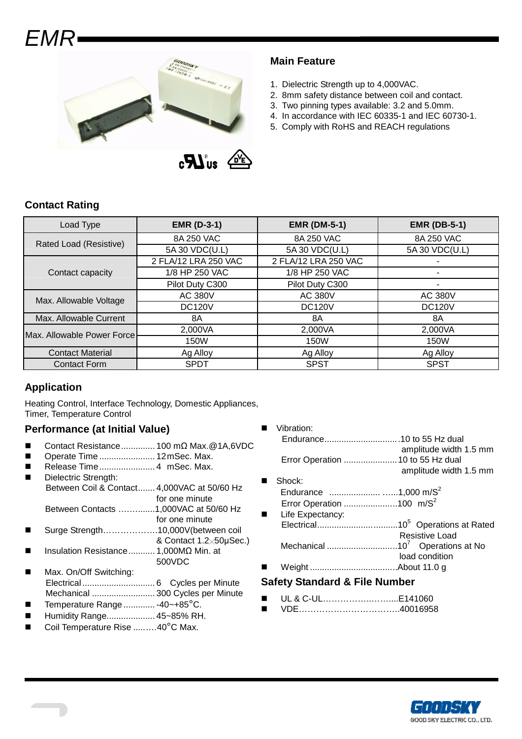# EMR



## **Main Feature**

- 1. Dielectric Strength up to 4,000VAC.
- 2. 8mm safety distance between coil and contact.
- 3. Two pinning types available: 3.2 and 5.0mm.
- 4. In accordance with IEC 60335-1 and IEC 60730-1.
- 5. Comply with RoHS and REACH regulations

| Load Type                  | <b>EMR (D-3-1)</b>   | <b>EMR (DM-5-1)</b>  | <b>EMR (DB-5-1)</b> |  |
|----------------------------|----------------------|----------------------|---------------------|--|
| Rated Load (Resistive)     | 8A 250 VAC           | 8A 250 VAC           | 8A 250 VAC          |  |
|                            | 5A 30 VDC(U.L)       | 5A 30 VDC(U.L)       | 5A 30 VDC(U.L)      |  |
|                            | 2 FLA/12 LRA 250 VAC | 2 FLA/12 LRA 250 VAC |                     |  |
| Contact capacity           | 1/8 HP 250 VAC       | 1/8 HP 250 VAC       |                     |  |
|                            | Pilot Duty C300      | Pilot Duty C300      | ۰                   |  |
| Max. Allowable Voltage     | <b>AC 380V</b>       | <b>AC 380V</b>       | AC 380V             |  |
|                            | <b>DC120V</b>        | <b>DC120V</b>        | <b>DC120V</b>       |  |
| Max. Allowable Current     | 8A                   | 8A                   | 8A                  |  |
| Max. Allowable Power Force | 2,000VA              | 2,000VA              | 2,000VA             |  |
|                            | 150W                 | 150W                 | 150W                |  |
| <b>Contact Material</b>    | Ag Alloy             | Ag Alloy             | Ag Alloy            |  |
| <b>Contact Form</b>        | <b>SPDT</b>          | <b>SPST</b>          | <b>SPST</b>         |  |

#### **Application**

Heating Control, Interface Technology, Domestic Appliances, Timer, Temperature Control

## **Performance (at Initial Value)**

- Contact Resistance.............. 100 mΩ Max.@1A,6VDC
- Operate Time ....................... 12 mSec. Max.
- Release Time......................... 4 mSec. Max.
- Dielectric Strength: Between Coil & Contact....... 4,000VAC at 50/60 Hz for one minute Between Contacts ….….......1,000VAC at 50/60 Hz
- for one minute
- Surge Strength……………….10,000V(between coil & Contact 1.2╳50µSec.)
- Insulation Resistance........... 1,000MΩ Min. at 500VDC
- Max. On/Off Switching: Electrical .............................. 6 Cycles per Minute Mechanical .......................... 300 Cycles per Minute
- Temperature Range ............. -40~+85°C.
- Humidity Range.................... 45~85% RH.
- Coil Temperature Rise ......…40°C Max.

|   | Vibration:                           |                        |
|---|--------------------------------------|------------------------|
|   |                                      |                        |
|   |                                      | amplitude width 1.5 mm |
|   | Error Operation  10 to 55 Hz dual    |                        |
|   |                                      | amplitude width 1.5 mm |
|   | Shock:                               |                        |
|   |                                      |                        |
|   | Error Operation 100 m/S <sup>2</sup> |                        |
| п | Life Expectancy:                     |                        |
|   |                                      |                        |
|   |                                      | Resistive Load         |
|   |                                      |                        |
|   |                                      | load condition         |
|   |                                      |                        |
|   | Safaty Standard & Eile Number        |                        |

#### **Safety Standard & File Number**

- UL & C-UL……………..……....E141060
- VDE……………………………..40016958

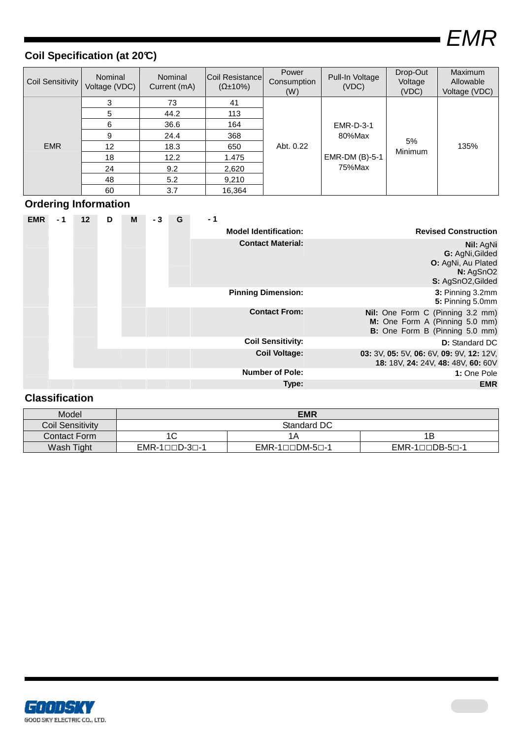EMR

ī

## **Coil Specification (at 20°C)**

| Coil Sensitivity | Nominal<br>Voltage (VDC) | <b>Nominal</b><br>Current (mA) | Coil Resistance<br>$(\Omega \pm 10\%)$ | Power<br>Consumption<br>(W) | Pull-In Voltage<br>(VDC)                               | Drop-Out<br>Voltage<br>(VDC) | Maximum<br>Allowable<br>Voltage (VDC) |
|------------------|--------------------------|--------------------------------|----------------------------------------|-----------------------------|--------------------------------------------------------|------------------------------|---------------------------------------|
| <b>EMR</b>       | 3                        | 73                             | 41                                     |                             | <b>EMR-D-3-1</b><br>80%Max<br>EMR-DM (B)-5-1<br>75%Max | 5%<br><b>Minimum</b>         | 135%                                  |
|                  | 5                        | 44.2                           | 113                                    |                             |                                                        |                              |                                       |
|                  | 6                        | 36.6                           | 164                                    |                             |                                                        |                              |                                       |
|                  | 9                        | 24.4                           | 368                                    | Abt. 0.22                   |                                                        |                              |                                       |
|                  | 12 <sup>°</sup>          | 18.3                           | 650                                    |                             |                                                        |                              |                                       |
|                  | 18                       | 12.2                           | 1.475                                  |                             |                                                        |                              |                                       |
|                  | 24                       | 9.2                            | 2,620                                  |                             |                                                        |                              |                                       |
|                  | 48                       | 5.2                            | 9,210                                  |                             |                                                        |                              |                                       |
|                  | 60                       | 3.7                            | 16,364                                 |                             |                                                        |                              |                                       |

## **Ordering Information**

| <b>EMR</b> | - 1 | 12 | D | М                            | - 3                         | G | - 1                       |                                                                                                      |
|------------|-----|----|---|------------------------------|-----------------------------|---|---------------------------|------------------------------------------------------------------------------------------------------|
|            |     |    |   | <b>Model Identification:</b> | <b>Revised Construction</b> |   |                           |                                                                                                      |
|            |     |    |   |                              |                             |   | <b>Contact Material:</b>  | Nil: AgNi<br>G: AgNi, Gilded<br>O: AgNi, Au Plated<br>N: AgSnO2<br>S: AgSnO2, Gilded                 |
|            |     |    |   |                              |                             |   | <b>Pinning Dimension:</b> | 3: Pinning 3.2mm<br>5: Pinning 5.0mm                                                                 |
|            |     |    |   |                              |                             |   | <b>Contact From:</b>      | Nil: One Form C (Pinning 3.2 mm)<br>M: One Form A (Pinning 5.0 mm)<br>B: One Form B (Pinning 5.0 mm) |
|            |     |    |   |                              |                             |   | <b>Coil Sensitivity:</b>  | <b>D:</b> Standard DC                                                                                |
|            |     |    |   |                              |                             |   | <b>Coil Voltage:</b>      | 03: 3V, 05: 5V, 06: 6V, 09: 9V, 12: 12V,<br>18: 18V, 24: 24V, 48: 48V, 60: 60V                       |
|            |     |    |   |                              |                             |   | <b>Number of Pole:</b>    | 1: One Pole                                                                                          |
|            |     |    |   |                              |                             |   | Type:                     | <b>EMR</b>                                                                                           |

## **Classification**

| Model            | <b>EMR</b>                    |                                         |                                |  |  |  |
|------------------|-------------------------------|-----------------------------------------|--------------------------------|--|--|--|
| Coil Sensitivity | Standard DC                   |                                         |                                |  |  |  |
| Contact Form     |                               | 1Α                                      | 1Β                             |  |  |  |
| Wash Tight       | $EMR-1 \Box \Box D-3 \Box -1$ | $EMR-1 \square \square DM-5 \square -1$ | $EMR-1 \Box \Box DB-5 \Box -1$ |  |  |  |

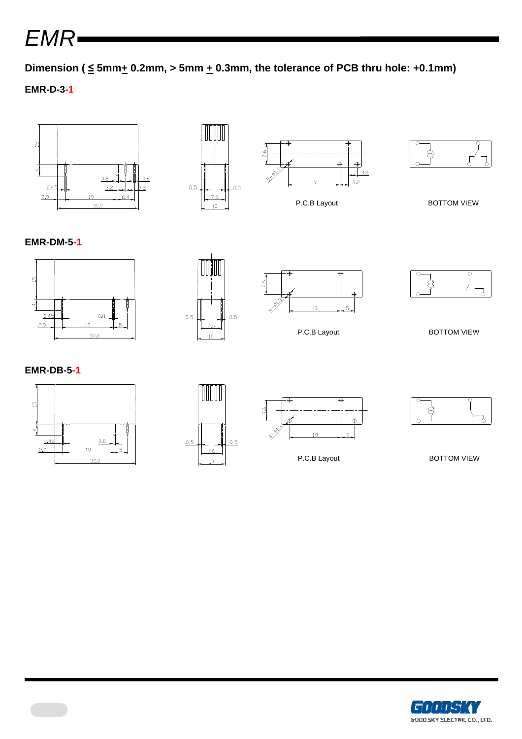EMR

Dimension ( $\leq$  5mm $\pm$  0.2mm, > 5mm  $\pm$  0.3mm, the tolerance of PCB thru hole: +0.1mm)

## **EMR-D-3-1**



#### **EMR-DM-5-1**









P.C.B Layout BOTTOM VIEW

**EMR-DB-5-1**









P.C.B Layout BOTTOM VIEW